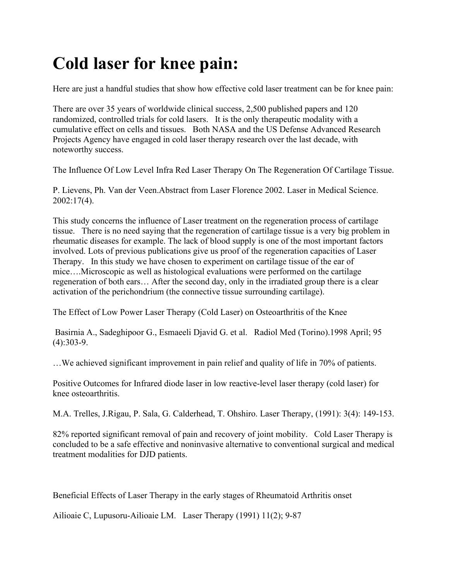## **Cold laser for knee pain:**

Here are just a handful studies that show how effective cold laser treatment can be for knee pain:

There are over 35 years of worldwide clinical success, 2,500 published papers and 120 randomized, controlled trials for cold lasers. It is the only therapeutic modality with a cumulative effect on cells and tissues. Both NASA and the US Defense Advanced Research Projects Agency have engaged in cold laser therapy research over the last decade, with noteworthy success.

The Influence Of Low Level Infra Red Laser Therapy On The Regeneration Of Cartilage Tissue.

P. Lievens, Ph. Van der Veen.Abstract from Laser Florence 2002. Laser in Medical Science. 2002:17(4).

This study concerns the influence of Laser treatment on the regeneration process of cartilage tissue. There is no need saying that the regeneration of cartilage tissue is a very big problem in rheumatic diseases for example. The lack of blood supply is one of the most important factors involved. Lots of previous publications give us proof of the regeneration capacities of Laser Therapy. In this study we have chosen to experiment on cartilage tissue of the ear of mice….Microscopic as well as histological evaluations were performed on the cartilage regeneration of both ears… After the second day, only in the irradiated group there is a clear activation of the perichondrium (the connective tissue surrounding cartilage).

The Effect of Low Power Laser Therapy (Cold Laser) on Osteoarthritis of the Knee

 Basirnia A., Sadeghipoor G., Esmaeeli Djavid G. et al. Radiol Med (Torino).1998 April; 95 (4):303-9.

…We achieved significant improvement in pain relief and quality of life in 70% of patients.

Positive Outcomes for Infrared diode laser in low reactive-level laser therapy (cold laser) for knee osteoarthritis.

M.A. Trelles, J.Rigau, P. Sala, G. Calderhead, T. Ohshiro. Laser Therapy, (1991): 3(4): 149-153.

82% reported significant removal of pain and recovery of joint mobility. Cold Laser Therapy is concluded to be a safe effective and noninvasive alternative to conventional surgical and medical treatment modalities for DJD patients.

Beneficial Effects of Laser Therapy in the early stages of Rheumatoid Arthritis onset

Ailioaie C, Lupusoru-Ailioaie LM. Laser Therapy (1991) 11(2); 9-87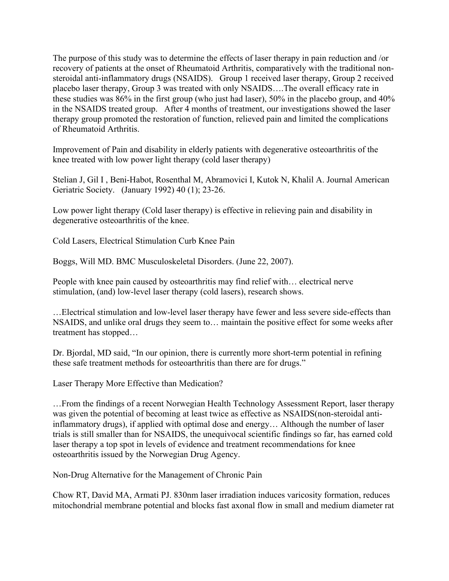The purpose of this study was to determine the effects of laser therapy in pain reduction and /or recovery of patients at the onset of Rheumatoid Arthritis, comparatively with the traditional nonsteroidal anti-inflammatory drugs (NSAIDS). Group 1 received laser therapy, Group 2 received placebo laser therapy, Group 3 was treated with only NSAIDS….The overall efficacy rate in these studies was 86% in the first group (who just had laser), 50% in the placebo group, and 40% in the NSAIDS treated group. After 4 months of treatment, our investigations showed the laser therapy group promoted the restoration of function, relieved pain and limited the complications of Rheumatoid Arthritis.

Improvement of Pain and disability in elderly patients with degenerative osteoarthritis of the knee treated with low power light therapy (cold laser therapy)

Stelian J, Gil I , Beni-Habot, Rosenthal M, Abramovici I, Kutok N, Khalil A. Journal American Geriatric Society. (January 1992) 40 (1); 23-26.

Low power light therapy (Cold laser therapy) is effective in relieving pain and disability in degenerative osteoarthritis of the knee.

Cold Lasers, Electrical Stimulation Curb Knee Pain

Boggs, Will MD. BMC Musculoskeletal Disorders. (June 22, 2007).

People with knee pain caused by osteoarthritis may find relief with… electrical nerve stimulation, (and) low-level laser therapy (cold lasers), research shows.

…Electrical stimulation and low-level laser therapy have fewer and less severe side-effects than NSAIDS, and unlike oral drugs they seem to… maintain the positive effect for some weeks after treatment has stopped…

Dr. Bjordal, MD said, "In our opinion, there is currently more short-term potential in refining these safe treatment methods for osteoarthritis than there are for drugs."

Laser Therapy More Effective than Medication?

…From the findings of a recent Norwegian Health Technology Assessment Report, laser therapy was given the potential of becoming at least twice as effective as NSAIDS(non-steroidal antiinflammatory drugs), if applied with optimal dose and energy… Although the number of laser trials is still smaller than for NSAIDS, the unequivocal scientific findings so far, has earned cold laser therapy a top spot in levels of evidence and treatment recommendations for knee osteoarthritis issued by the Norwegian Drug Agency.

Non-Drug Alternative for the Management of Chronic Pain

Chow RT, David MA, Armati PJ. 830nm laser irradiation induces varicosity formation, reduces mitochondrial membrane potential and blocks fast axonal flow in small and medium diameter rat